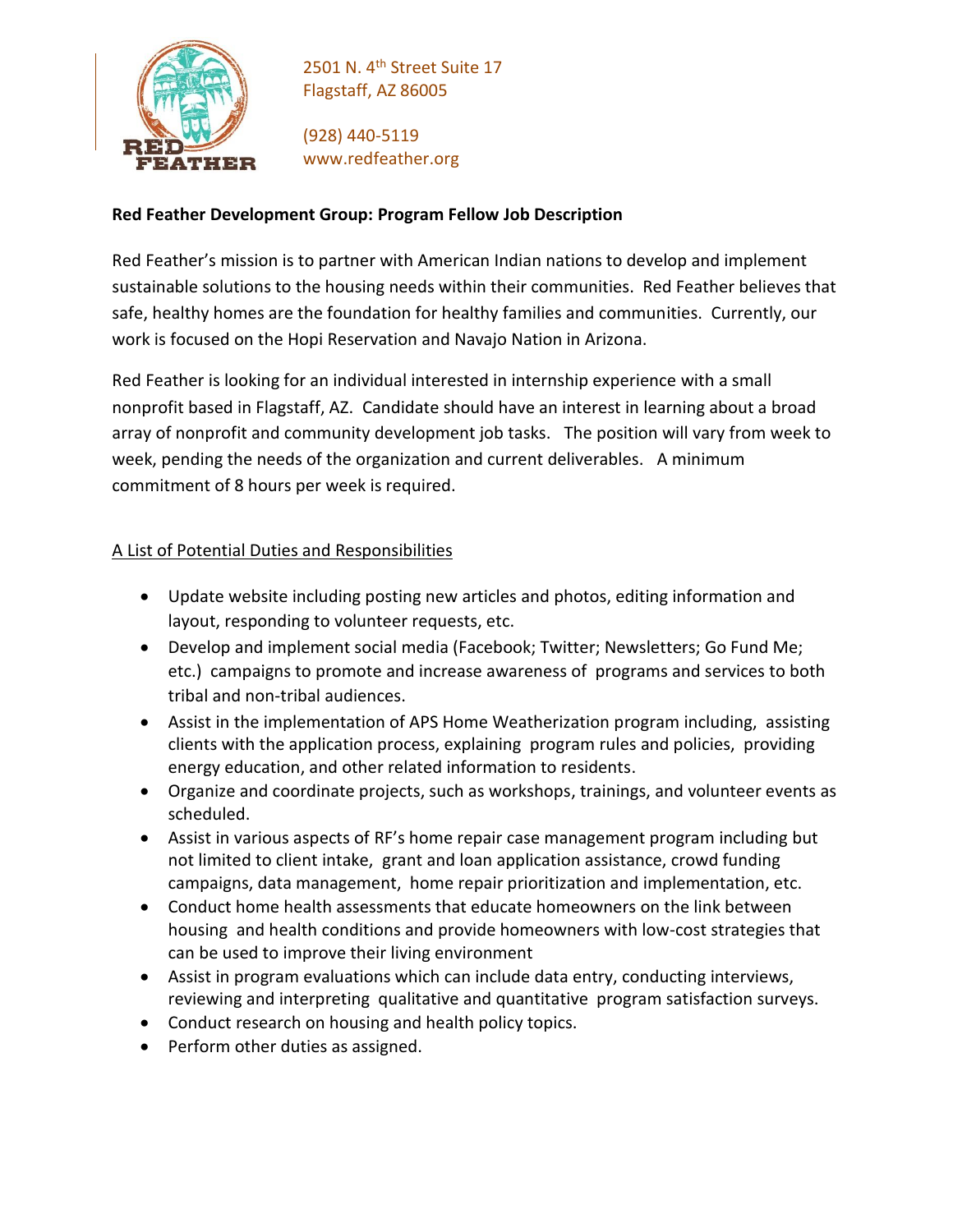

2501 N. 4<sup>th</sup> Street Suite 17 Flagstaff, AZ 86005

(928) 440-5119 www.redfeather.org

## **Red Feather Development Group: Program Fellow Job Description**

Red Feather's mission is to partner with American Indian nations to develop and implement sustainable solutions to the housing needs within their communities. Red Feather believes that safe, healthy homes are the foundation for healthy families and communities. Currently, our work is focused on the Hopi Reservation and Navajo Nation in Arizona.

Red Feather is looking for an individual interested in internship experience with a small nonprofit based in Flagstaff, AZ. Candidate should have an interest in learning about a broad array of nonprofit and community development job tasks. The position will vary from week to week, pending the needs of the organization and current deliverables. A minimum commitment of 8 hours per week is required.

# A List of Potential Duties and Responsibilities

- Update website including posting new articles and photos, editing information and layout, responding to volunteer requests, etc.
- Develop and implement social media (Facebook; Twitter; Newsletters; Go Fund Me; etc.) campaigns to promote and increase awareness of programs and services to both tribal and non-tribal audiences.
- Assist in the implementation of APS Home Weatherization program including, assisting clients with the application process, explaining program rules and policies, providing energy education, and other related information to residents.
- Organize and coordinate projects, such as workshops, trainings, and volunteer events as scheduled.
- Assist in various aspects of RF's home repair case management program including but not limited to client intake, grant and loan application assistance, crowd funding campaigns, data management, home repair prioritization and implementation, etc.
- Conduct home health assessments that educate homeowners on the link between housing and health conditions and provide homeowners with low-cost strategies that can be used to improve their living environment
- Assist in program evaluations which can include data entry, conducting interviews, reviewing and interpreting qualitative and quantitative program satisfaction surveys.
- Conduct research on housing and health policy topics.
- Perform other duties as assigned.